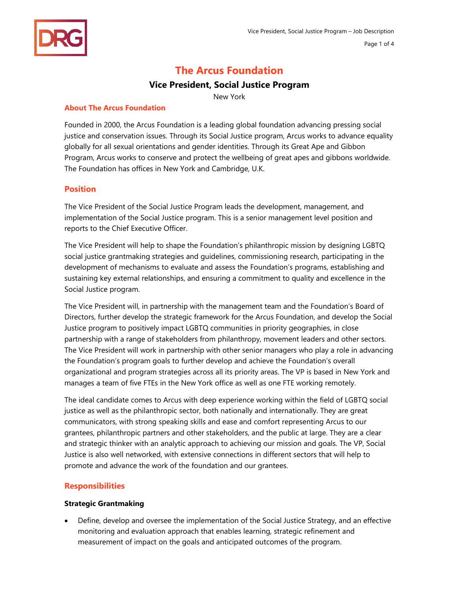# **The Arcus Foundation**

# **Vice President, Social Justice Program**

New York

## **About The Arcus Foundation**

Founded in 2000, the Arcus Foundation is a leading global foundation advancing pressing social justice and conservation issues. Through its Social Justice program, Arcus works to advance equality globally for all sexual orientations and gender identities. Through its Great Ape and Gibbon Program, Arcus works to conserve and protect the wellbeing of great apes and gibbons worldwide. The Foundation has offices in New York and Cambridge, U.K.

## **Position**

The Vice President of the Social Justice Program leads the development, management, and implementation of the Social Justice program. This is a senior management level position and reports to the Chief Executive Officer.

The Vice President will help to shape the Foundation's philanthropic mission by designing LGBTQ social justice grantmaking strategies and guidelines, commissioning research, participating in the development of mechanisms to evaluate and assess the Foundation's programs, establishing and sustaining key external relationships, and ensuring a commitment to quality and excellence in the Social Justice program.

The Vice President will, in partnership with the management team and the Foundation's Board of Directors, further develop the strategic framework for the Arcus Foundation, and develop the Social Justice program to positively impact LGBTQ communities in priority geographies, in close partnership with a range of stakeholders from philanthropy, movement leaders and other sectors. The Vice President will work in partnership with other senior managers who play a role in advancing the Foundation's program goals to further develop and achieve the Foundation's overall organizational and program strategies across all its priority areas. The VP is based in New York and manages a team of five FTEs in the New York office as well as one FTE working remotely.

The ideal candidate comes to Arcus with deep experience working within the field of LGBTQ social justice as well as the philanthropic sector, both nationally and internationally. They are great communicators, with strong speaking skills and ease and comfort representing Arcus to our grantees, philanthropic partners and other stakeholders, and the public at large. They are a clear and strategic thinker with an analytic approach to achieving our mission and goals. The VP, Social Justice is also well networked, with extensive connections in different sectors that will help to promote and advance the work of the foundation and our grantees.

## **Responsibilities**

## **Strategic Grantmaking**

• Define, develop and oversee the implementation of the Social Justice Strategy, and an effective monitoring and evaluation approach that enables learning, strategic refinement and measurement of impact on the goals and anticipated outcomes of the program.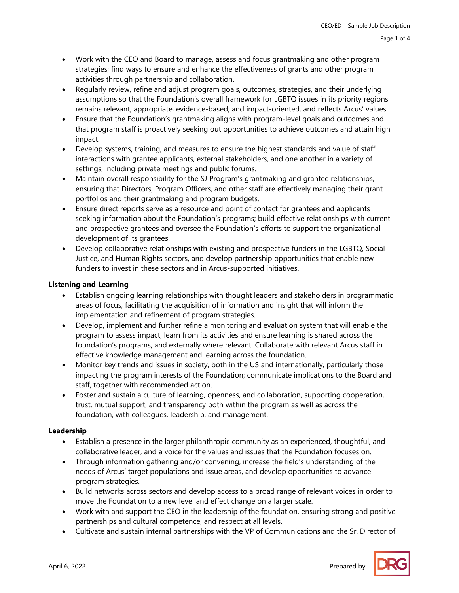- Work with the CEO and Board to manage, assess and focus grantmaking and other program strategies; find ways to ensure and enhance the effectiveness of grants and other program activities through partnership and collaboration.
- Regularly review, refine and adjust program goals, outcomes, strategies, and their underlying assumptions so that the Foundation's overall framework for LGBTQ issues in its priority regions remains relevant, appropriate, evidence‐based, and impact‐oriented, and reflects Arcus' values.
- Ensure that the Foundation's grantmaking aligns with program-level goals and outcomes and that program staff is proactively seeking out opportunities to achieve outcomes and attain high impact.
- Develop systems, training, and measures to ensure the highest standards and value of staff interactions with grantee applicants, external stakeholders, and one another in a variety of settings, including private meetings and public forums.
- Maintain overall responsibility for the SJ Program's grantmaking and grantee relationships, ensuring that Directors, Program Officers, and other staff are effectively managing their grant portfolios and their grantmaking and program budgets.
- Ensure direct reports serve as a resource and point of contact for grantees and applicants seeking information about the Foundation's programs; build effective relationships with current and prospective grantees and oversee the Foundation's efforts to support the organizational development of its grantees.
- Develop collaborative relationships with existing and prospective funders in the LGBTQ, Social Justice, and Human Rights sectors, and develop partnership opportunities that enable new funders to invest in these sectors and in Arcus‐supported initiatives.

# **Listening and Learning**

- Establish ongoing learning relationships with thought leaders and stakeholders in programmatic areas of focus, facilitating the acquisition of information and insight that will inform the implementation and refinement of program strategies.
- Develop, implement and further refine a monitoring and evaluation system that will enable the program to assess impact, learn from its activities and ensure learning is shared across the foundation's programs, and externally where relevant. Collaborate with relevant Arcus staff in effective knowledge management and learning across the foundation.
- Monitor key trends and issues in society, both in the US and internationally, particularly those impacting the program interests of the Foundation; communicate implications to the Board and staff, together with recommended action.
- Foster and sustain a culture of learning, openness, and collaboration, supporting cooperation, trust, mutual support, and transparency both within the program as well as across the foundation, with colleagues, leadership, and management.

## **Leadership**

- Establish a presence in the larger philanthropic community as an experienced, thoughtful, and collaborative leader, and a voice for the values and issues that the Foundation focuses on.
- Through information gathering and/or convening, increase the field's understanding of the needs of Arcus' target populations and issue areas, and develop opportunities to advance program strategies.
- Build networks across sectors and develop access to a broad range of relevant voices in order to move the Foundation to a new level and effect change on a larger scale.
- Work with and support the CEO in the leadership of the foundation, ensuring strong and positive partnerships and cultural competence, and respect at all levels.
- Cultivate and sustain internal partnerships with the VP of Communications and the Sr. Director of

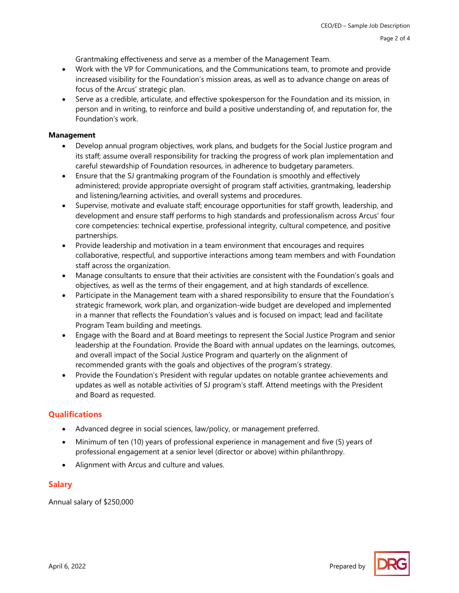Grantmaking effectiveness and serve as a member of the Management Team.

- Work with the VP for Communications, and the Communications team, to promote and provide increased visibility for the Foundation's mission areas, as well as to advance change on areas of focus of the Arcus' strategic plan.
- Serve as a credible, articulate, and effective spokesperson for the Foundation and its mission, in person and in writing, to reinforce and build a positive understanding of, and reputation for, the Foundation's work.

#### **Management**

- Develop annual program objectives, work plans, and budgets for the Social Justice program and its staff; assume overall responsibility for tracking the progress of work plan implementation and careful stewardship of Foundation resources, in adherence to budgetary parameters.
- Ensure that the SJ grantmaking program of the Foundation is smoothly and effectively administered; provide appropriate oversight of program staff activities, grantmaking, leadership and listening/learning activities, and overall systems and procedures.
- Supervise, motivate and evaluate staff; encourage opportunities for staff growth, leadership, and development and ensure staff performs to high standards and professionalism across Arcus' four core competencies: technical expertise, professional integrity, cultural competence, and positive partnerships.
- Provide leadership and motivation in a team environment that encourages and requires collaborative, respectful, and supportive interactions among team members and with Foundation staff across the organization.
- Manage consultants to ensure that their activities are consistent with the Foundation's goals and objectives, as well as the terms of their engagement, and at high standards of excellence.
- Participate in the Management team with a shared responsibility to ensure that the Foundation's strategic framework, work plan, and organization‐wide budget are developed and implemented in a manner that reflects the Foundation's values and is focused on impact; lead and facilitate Program Team building and meetings.
- Engage with the Board and at Board meetings to represent the Social Justice Program and senior leadership at the Foundation. Provide the Board with annual updates on the learnings, outcomes, and overall impact of the Social Justice Program and quarterly on the alignment of recommended grants with the goals and objectives of the program's strategy.
- Provide the Foundation's President with regular updates on notable grantee achievements and updates as well as notable activities of SJ program's staff. Attend meetings with the President and Board as requested.

# **Qualifications**

- Advanced degree in social sciences, law/policy, or management preferred.
- Minimum of ten (10) years of professional experience in management and five (5) years of professional engagement at a senior level (director or above) within philanthropy.
- Alignment with Arcus and culture and values.

# **Salary**

Annual salary of \$250,000